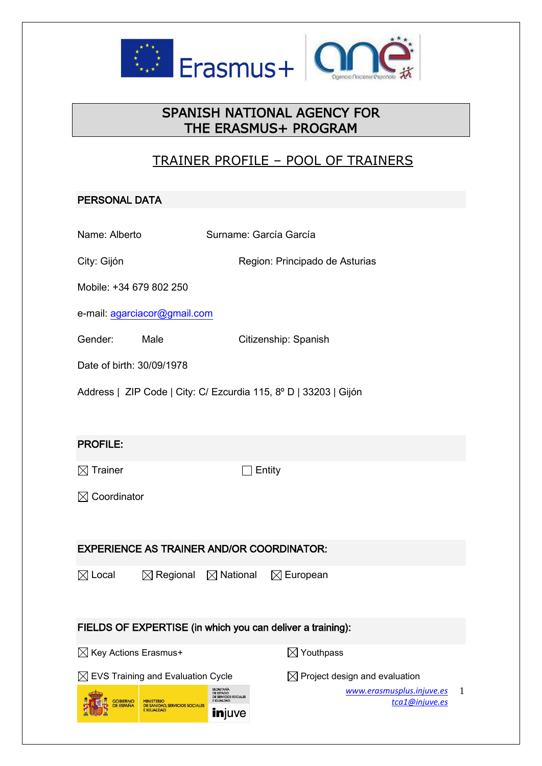

# SPANISH NATIONAL AGENCY FOR THE ERASMUS+ PROGRAM

# TRAINER PROFILE – POOL OF TRAINERS

### PERSONAL DATA

| Name: Alberto                                                                                                   | Surname: García García                                                                                                               |  |  |
|-----------------------------------------------------------------------------------------------------------------|--------------------------------------------------------------------------------------------------------------------------------------|--|--|
| City: Gijón                                                                                                     | Region: Principado de Asturias                                                                                                       |  |  |
|                                                                                                                 |                                                                                                                                      |  |  |
| Mobile: +34 679 802 250                                                                                         |                                                                                                                                      |  |  |
| e-mail: agarciacor@gmail.com                                                                                    |                                                                                                                                      |  |  |
| Gender:<br>Male                                                                                                 | Citizenship: Spanish                                                                                                                 |  |  |
| Date of birth: 30/09/1978                                                                                       |                                                                                                                                      |  |  |
| Address   ZIP Code   City: C/ Ezcurdia 115, 8º D   33203   Gijón                                                |                                                                                                                                      |  |  |
|                                                                                                                 |                                                                                                                                      |  |  |
| <b>PROFILE:</b>                                                                                                 |                                                                                                                                      |  |  |
|                                                                                                                 |                                                                                                                                      |  |  |
| $\boxtimes$ Trainer                                                                                             | ]Entity                                                                                                                              |  |  |
| $\boxtimes$ Coordinator                                                                                         |                                                                                                                                      |  |  |
|                                                                                                                 |                                                                                                                                      |  |  |
| <b>EXPERIENCE AS TRAINER AND/OR COORDINATOR:</b>                                                                |                                                                                                                                      |  |  |
| $\boxtimes$ Local                                                                                               | $\boxtimes$ Regional $\boxtimes$ National<br>$\boxtimes$ European                                                                    |  |  |
|                                                                                                                 |                                                                                                                                      |  |  |
|                                                                                                                 |                                                                                                                                      |  |  |
|                                                                                                                 | FIELDS OF EXPERTISE (in which you can deliver a training):                                                                           |  |  |
| $\boxtimes$ Key Actions Erasmus+                                                                                | $\boxtimes$ Youthpass                                                                                                                |  |  |
| $\boxtimes$ EVS Training and Evaluation Cycle                                                                   | $\boxtimes$ Project design and evaluation                                                                                            |  |  |
| <b>GOBIERNO</b><br><b>MINISTERIO</b><br>DE SANIDAD, SERVICIOS SOCIALES<br><b>DE ESPAÑA</b><br><b>E IGUALDAD</b> | SECRETARÍA<br>www.erasmusplus.injuve.es<br>1<br>DE ESTADO<br>DE SERVICIOS SOCIALES<br>E IGUALDAD<br>tca1@injuve.es<br><b>in</b> juve |  |  |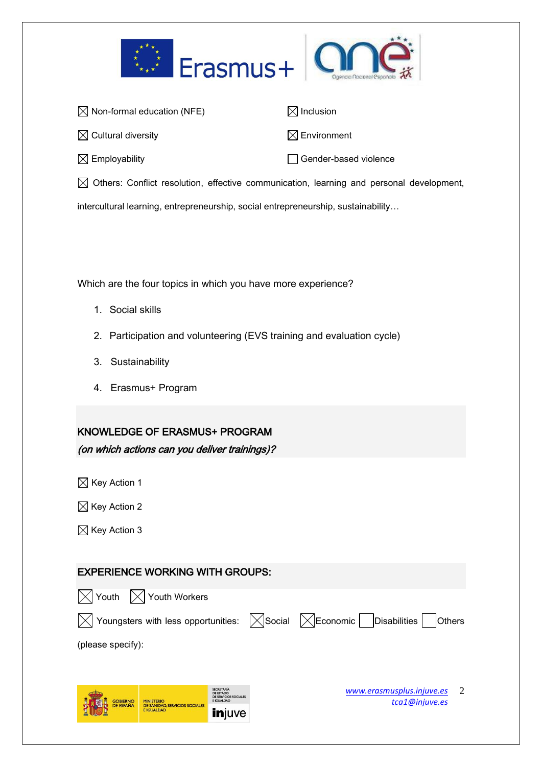



| $\boxtimes$ Non-formal education (NFE) | $\boxtimes$ Inclusion   |
|----------------------------------------|-------------------------|
| $\boxtimes$ Cultural diversity         | $\boxtimes$ Environment |
| $\boxtimes$ Employability              | Gender-based violence   |

 $\boxtimes$  Others: Conflict resolution, effective communication, learning and personal development,

intercultural learning, entrepreneurship, social entrepreneurship, sustainability…

Which are the four topics in which you have more experience?

- 1. Social skills
- 2. Participation and volunteering (EVS training and evaluation cycle)
- 3. Sustainability
- 4. Erasmus+ Program

## KNOWLEDGE OF ERASMUS+ PROGRAM (on which actions can you deliver trainings)?

 $\boxtimes$  Key Action 1

 $\boxtimes$  Key Action 2

 $\boxtimes$  Key Action 3

### EXPERIENCE WORKING WITH GROUPS:





(please specify):



*[www.erasmusplus.injuve.es](http://www.erasmusplus.injuve.es/) [tca1@injuve.es](mailto:tca1@injuve.es)* 2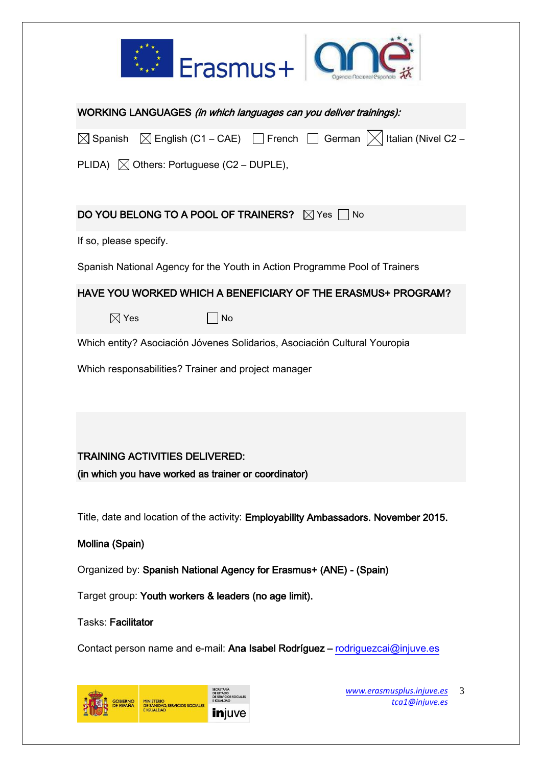



| WORKING LANGUAGES (in which languages can you deliver trainings):                                             |  |  |  |
|---------------------------------------------------------------------------------------------------------------|--|--|--|
| $\boxtimes$ Spanish $\boxtimes$ English (C1 – CAE) $\Box$ French $\Box$ German $ \times $ Italian (Nivel C2 – |  |  |  |
| PLIDA) $\boxtimes$ Others: Portuguese (C2 – DUPLE),                                                           |  |  |  |
| DO YOU BELONG TO A POOL OF TRAINERS? $\boxtimes$ Yes $\Box$ No                                                |  |  |  |
| If so, please specify.                                                                                        |  |  |  |
| Spanish National Agency for the Youth in Action Programme Pool of Trainers                                    |  |  |  |
| HAVE YOU WORKED WHICH A BENEFICIARY OF THE ERASMUS+ PROGRAM?                                                  |  |  |  |
| $\boxtimes$ Yes<br>No                                                                                         |  |  |  |
| Which entity? Asociación Jóvenes Solidarios, Asociación Cultural Youropia                                     |  |  |  |
| Which responsabilities? Trainer and project manager                                                           |  |  |  |
|                                                                                                               |  |  |  |
| <b>TRAINING ACTIVITIES DELIVERED:</b>                                                                         |  |  |  |
| (in which you have worked as trainer or coordinator)                                                          |  |  |  |
| Title, date and location of the activity: Employability Ambassadors. November 2015.                           |  |  |  |
| Mollina (Spain)                                                                                               |  |  |  |
| Organized by: Spanish National Agency for Erasmus+ (ANE) - (Spain)                                            |  |  |  |
| Target group: Youth workers & leaders (no age limit).                                                         |  |  |  |
| Tasks: Facilitator                                                                                            |  |  |  |
| Contact person name and e-mail: Ana Isabel Rodríguez - rodriguezcai@injuve.es                                 |  |  |  |



*[www.erasmusplus.injuve.es](http://www.erasmusplus.injuve.es/)* 3 *[tca1@injuve.es](mailto:tca1@injuve.es)*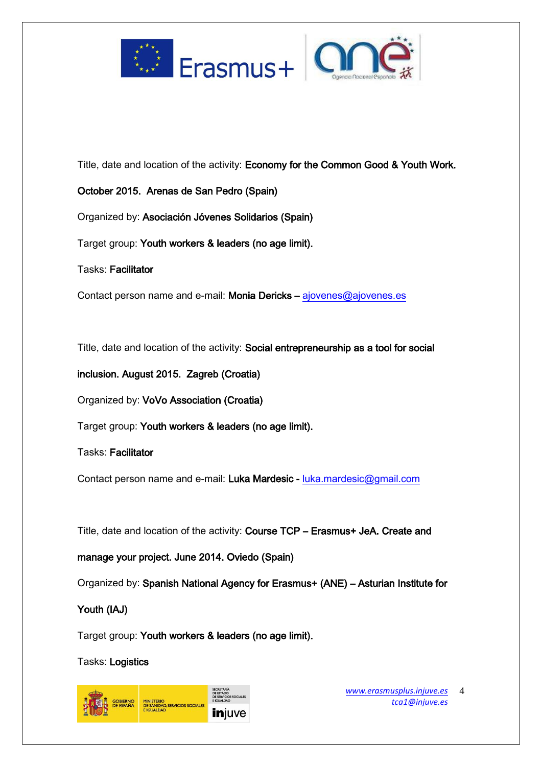



Title, date and location of the activity: Economy for the Common Good & Youth Work.

October 2015. Arenas de San Pedro (Spain)

Organized by: Asociación Jóvenes Solidarios (Spain)

Target group: Youth workers & leaders (no age limit).

Tasks: Facilitator

Contact person name and e-mail: Monia Dericks – [ajovenes@ajovenes.es](mailto:ajovenes@ajovenes.es) 

Title, date and location of the activity: Social entrepreneurship as a tool for social

inclusion. August 2015. Zagreb (Croatia)

Organized by: VoVo Association (Croatia)

Target group: Youth workers & leaders (no age limit).

Tasks: Facilitator

Contact person name and e-mail: Luka Mardesic - luka.mardesic@gmail.com

Title, date and location of the activity: Course TCP – Erasmus+ JeA. Create and

manage your project. June 2014. Oviedo (Spain)

Organized by: Spanish National Agency for Erasmus+ (ANE) – Asturian Institute for

Youth (IAJ)

Target group: Youth workers & leaders (no age limit).

Tasks: Logistics

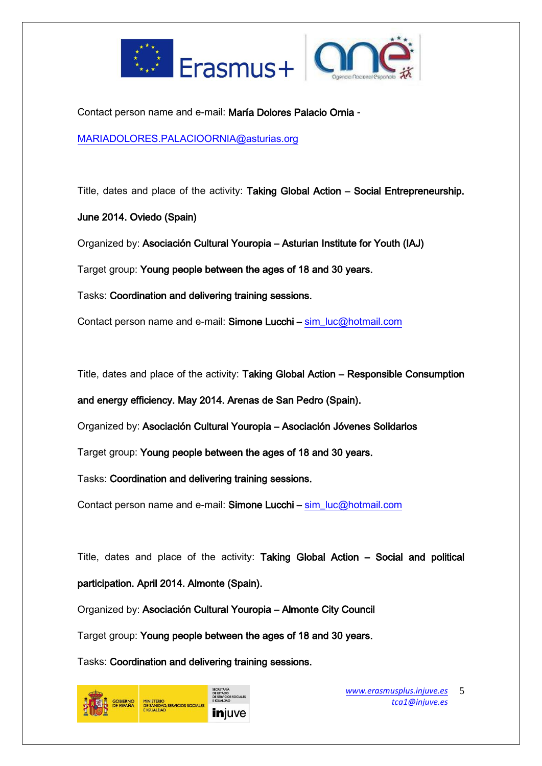



Contact person name and e-mail: María Dolores Palacio Ornia -

[MARIADOLORES.PALACIOORNIA@asturias.org](mailto:MARIADOLORES.PALACIOORNIA@asturias.org)

Title, dates and place of the activity: Taking Global Action – Social Entrepreneurship.

June 2014. Oviedo (Spain)

Organized by: Asociación Cultural Youropia – Asturian Institute for Youth (IAJ)

Target group: Young people between the ages of 18 and 30 years.

Tasks: Coordination and delivering training sessions.

Contact person name and e-mail: Simone Lucchi – [sim\\_luc@hotmail.com](mailto:sim_luc@hotmail.com)

Title, dates and place of the activity: Taking Global Action – Responsible Consumption

and energy efficiency. May 2014. Arenas de San Pedro (Spain).

Organized by: Asociación Cultural Youropia – Asociación Jóvenes Solidarios

Target group: Young people between the ages of 18 and 30 years.

Tasks: Coordination and delivering training sessions.

Contact person name and e-mail: Simone Lucchi – [sim\\_luc@hotmail.com](mailto:sim_luc@hotmail.com)

Title, dates and place of the activity: Taking Global Action – Social and political participation. April 2014. Almonte (Spain).

Organized by: Asociación Cultural Youropia – Almonte City Council

Target group: Young people between the ages of 18 and 30 years.

Tasks: Coordination and delivering training sessions.

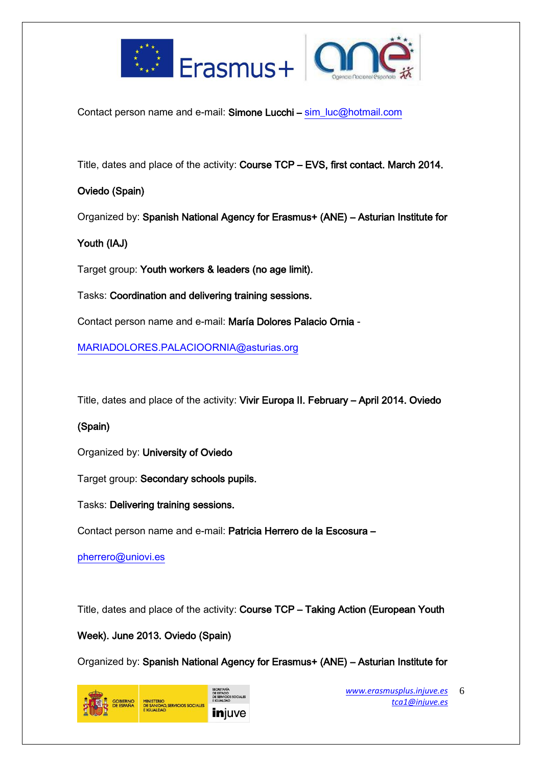



Contact person name and e-mail: Simone Lucchi – [sim\\_luc@hotmail.com](mailto:sim_luc@hotmail.com)

Title, dates and place of the activity: Course TCP – EVS, first contact. March 2014.

### Oviedo (Spain)

Organized by: Spanish National Agency for Erasmus+ (ANE) – Asturian Institute for

## Youth (IAJ)

Target group: Youth workers & leaders (no age limit).

Tasks: Coordination and delivering training sessions.

Contact person name and e-mail: María Dolores Palacio Ornia -

[MARIADOLORES.PALACIOORNIA@asturias.org](mailto:MARIADOLORES.PALACIOORNIA@asturias.org)

Title, dates and place of the activity: Vivir Europa II. February – April 2014. Oviedo

## (Spain)

Organized by: University of Oviedo

Target group: Secondary schools pupils.

Tasks: Delivering training sessions.

Contact person name and e-mail: Patricia Herrero de la Escosura –

[pherrero@uniovi.es](mailto:pherrero@uniovi.es)

Title, dates and place of the activity: Course TCP – Taking Action (European Youth

### Week). June 2013. Oviedo (Spain)

Organized by: Spanish National Agency for Erasmus+ (ANE) – Asturian Institute for

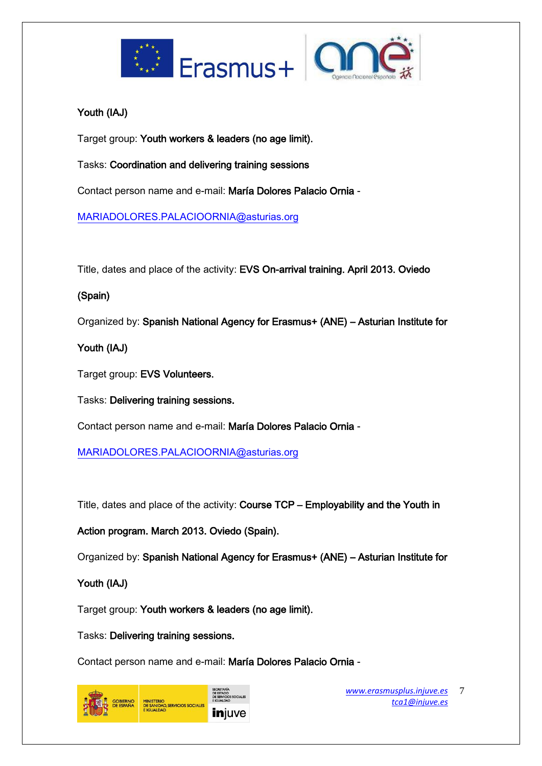



## Youth (IAJ)

Target group: Youth workers & leaders (no age limit).

Tasks: Coordination and delivering training sessions

Contact person name and e-mail: María Dolores Palacio Ornia -

[MARIADOLORES.PALACIOORNIA@asturias.org](mailto:MARIADOLORES.PALACIOORNIA@asturias.org)

Title, dates and place of the activity: EVS On-arrival training. April 2013. Oviedo

## (Spain)

Organized by: Spanish National Agency for Erasmus+ (ANE) – Asturian Institute for

Youth (IAJ)

Target group: EVS Volunteers.

Tasks: Delivering training sessions.

Contact person name and e-mail: María Dolores Palacio Ornia -

[MARIADOLORES.PALACIOORNIA@asturias.org](mailto:MARIADOLORES.PALACIOORNIA@asturias.org)

Title, dates and place of the activity: Course TCP – Employability and the Youth in

Action program. March 2013. Oviedo (Spain).

Organized by: Spanish National Agency for Erasmus+ (ANE) – Asturian Institute for

## Youth (IAJ)

Target group: Youth workers & leaders (no age limit).

Tasks: Delivering training sessions.

Contact person name and e-mail: María Dolores Palacio Ornia -

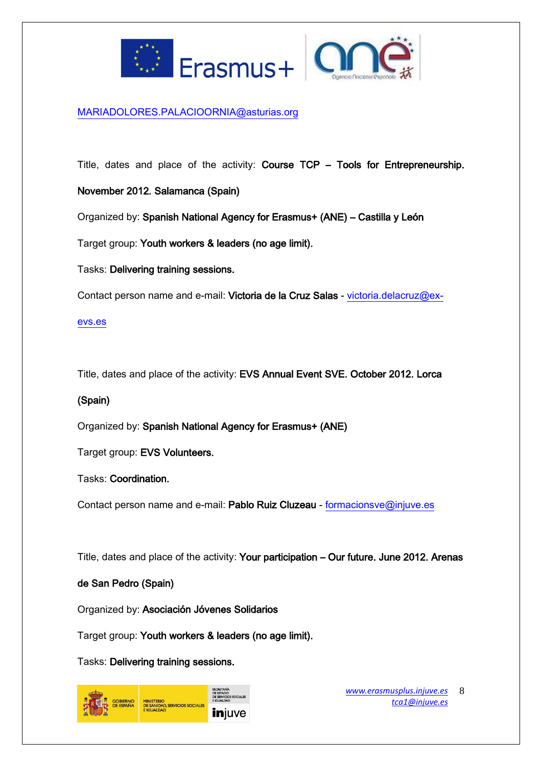



#### [MARIADOLORES.PALACIOORNIA@asturias.org](mailto:MARIADOLORES.PALACIOORNIA@asturias.org)

Title, dates and place of the activity: Course TCP – Tools for Entrepreneurship.

November 2012. Salamanca (Spain)

Organized by: Spanish National Agency for Erasmus+ (ANE) – Castilla y León

Target group: Youth workers & leaders (no age limit).

Tasks: Delivering training sessions.

Contact person name and e-mail: Victoria de la Cruz Salas - [victoria.delacruz@ex-](mailto:victoria.delacruz@ex-evs.es)

#### [evs.es](mailto:victoria.delacruz@ex-evs.es)

Title, dates and place of the activity: EVS Annual Event SVE. October 2012. Lorca

#### (Spain)

Organized by: Spanish National Agency for Erasmus+ (ANE)

Target group: EVS Volunteers.

Tasks: Coordination.

Contact person name and e-mail: Pablo Ruiz Cluzeau - [formacionsve@injuve.es](mailto:formacionsve@injuve.es)

Title, dates and place of the activity: Your participation – Our future. June 2012. Arenas

### de San Pedro (Spain)

Organized by: Asociación Jóvenes Solidarios

Target group: Youth workers & leaders (no age limit).

Tasks: Delivering training sessions.

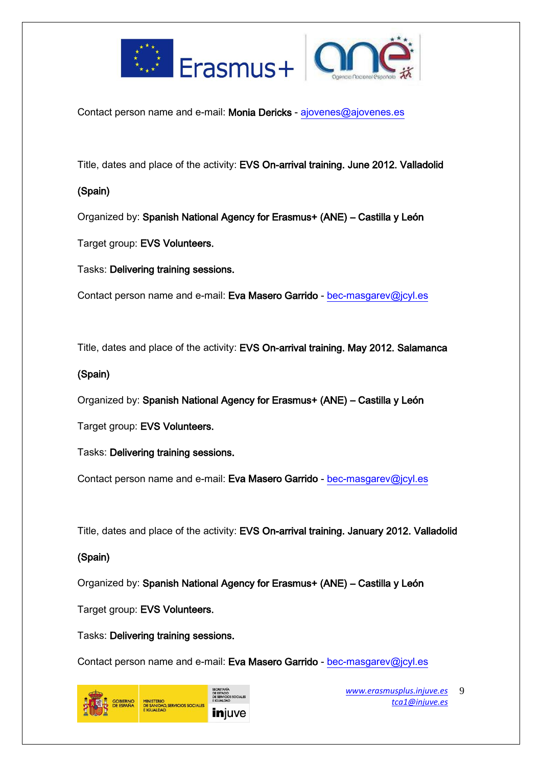



Contact person name and e-mail: Monia Dericks - [ajovenes@ajovenes.es](mailto:ajovenes@ajovenes.es)

Title, dates and place of the activity: EVS On-arrival training. June 2012. Valladolid

### (Spain)

Organized by: Spanish National Agency for Erasmus+ (ANE) – Castilla y León

Target group: EVS Volunteers.

Tasks: Delivering training sessions.

Contact person name and e-mail: Eva Masero Garrido - [bec-masgarev@jcyl.es](mailto:bec-masgarev@jcyl.es)

Title, dates and place of the activity: EVS On-arrival training. May 2012. Salamanca

### (Spain)

Organized by: Spanish National Agency for Erasmus+ (ANE) – Castilla y León

Target group: EVS Volunteers.

Tasks: Delivering training sessions.

Contact person name and e-mail: Eva Masero Garrido - [bec-masgarev@jcyl.es](mailto:bec-masgarev@jcyl.es)

Title, dates and place of the activity: EVS On-arrival training. January 2012. Valladolid

## (Spain)

Organized by: Spanish National Agency for Erasmus+ (ANE) – Castilla y León

Target group: EVS Volunteers.

Tasks: Delivering training sessions.

Contact person name and e-mail: Eva Masero Garrido - [bec-masgarev@jcyl.es](mailto:bec-masgarev@jcyl.es)



*[www.erasmusplus.injuve.es](http://www.erasmusplus.injuve.es/) [tca1@injuve.es](mailto:tca1@injuve.es)* 9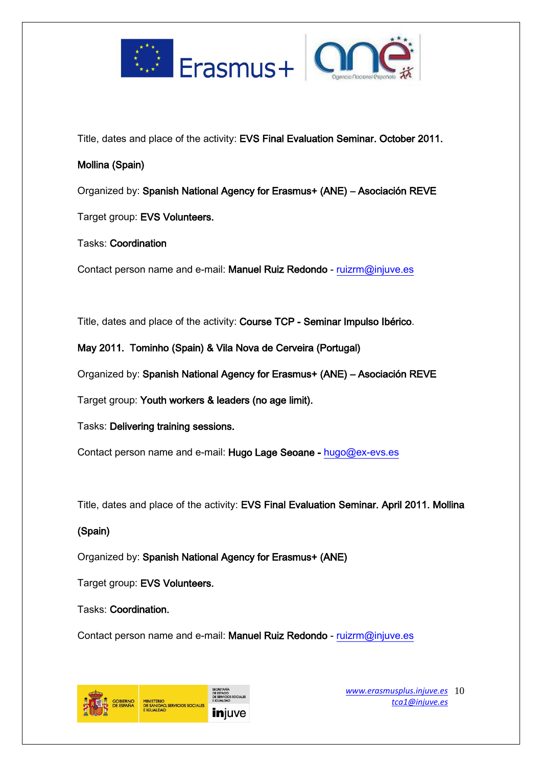



Title, dates and place of the activity: EVS Final Evaluation Seminar. October 2011.

### Mollina (Spain)

Organized by: Spanish National Agency for Erasmus+ (ANE) – Asociación REVE

Target group: EVS Volunteers.

## Tasks: Coordination

Contact person name and e-mail: Manuel Ruiz Redondo - [ruizrm@injuve.es](mailto:ruizrm@injuve.es)

Title, dates and place of the activity: Course TCP - Seminar Impulso Ibérico.

May 2011. Tominho (Spain) & Vila Nova de Cerveira (Portugal)

Organized by: Spanish National Agency for Erasmus+ (ANE) – Asociación REVE

Target group: Youth workers & leaders (no age limit).

Tasks: Delivering training sessions.

Contact person name and e-mail: Hugo Lage Seoane - [hugo@ex-evs.es](mailto:hugo@ex-evs.es)

Title, dates and place of the activity: EVS Final Evaluation Seminar. April 2011. Mollina

## (Spain)

Organized by: Spanish National Agency for Erasmus+ (ANE)

Target group: EVS Volunteers.

Tasks: Coordination.

Contact person name and e-mail: Manuel Ruiz Redondo - [ruizrm@injuve.es](mailto:ruizrm@injuve.es)



*[www.erasmusplus.injuve.es](http://www.erasmusplus.injuve.es/)* 10 *[tca1@injuve.es](mailto:tca1@injuve.es)*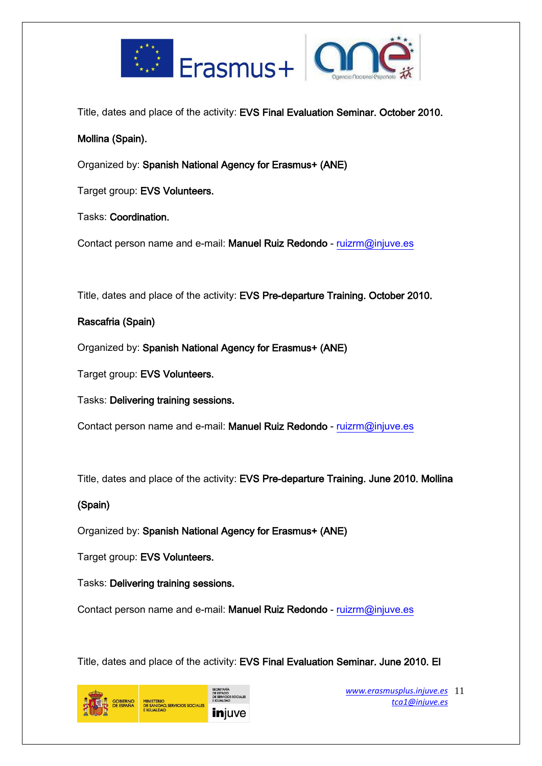



Title, dates and place of the activity: EVS Final Evaluation Seminar. October 2010.

## Mollina (Spain).

Organized by: Spanish National Agency for Erasmus+ (ANE)

Target group: EVS Volunteers.

Tasks: Coordination.

Contact person name and e-mail: Manuel Ruiz Redondo - [ruizrm@injuve.es](mailto:ruizrm@injuve.es)

Title, dates and place of the activity: EVS Pre-departure Training. October 2010.

## Rascafria (Spain)

Organized by: Spanish National Agency for Erasmus+ (ANE)

Target group: EVS Volunteers.

Tasks: Delivering training sessions.

Contact person name and e-mail: Manuel Ruiz Redondo - [ruizrm@injuve.es](mailto:ruizrm@injuve.es)

Title, dates and place of the activity: EVS Pre-departure Training. June 2010. Mollina

## (Spain)

Organized by: Spanish National Agency for Erasmus+ (ANE)

Target group: EVS Volunteers.

Tasks: Delivering training sessions.

Contact person name and e-mail: Manuel Ruiz Redondo - [ruizrm@injuve.es](mailto:ruizrm@injuve.es)

Title, dates and place of the activity: EVS Final Evaluation Seminar. June 2010. El



*[www.erasmusplus.injuve.es](http://www.erasmusplus.injuve.es/)* 11 *[tca1@injuve.es](mailto:tca1@injuve.es)*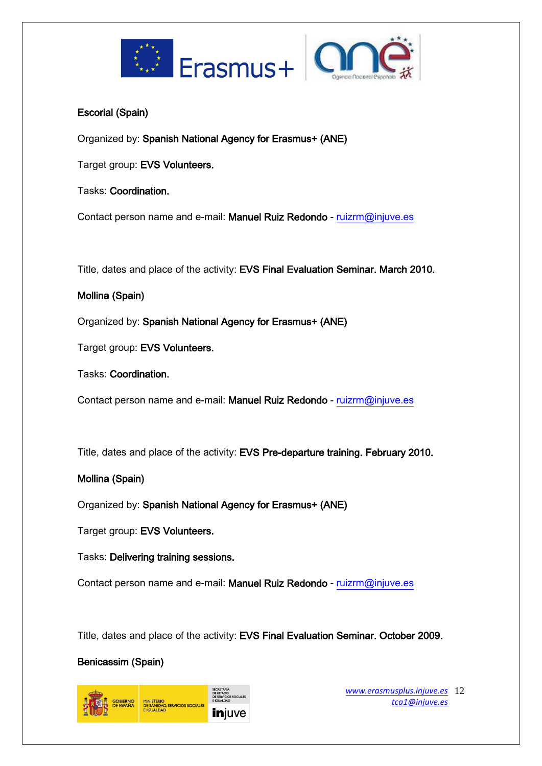



## Escorial (Spain)

Organized by: Spanish National Agency for Erasmus+ (ANE)

Target group: EVS Volunteers.

Tasks: Coordination.

Contact person name and e-mail: Manuel Ruiz Redondo - [ruizrm@injuve.es](mailto:ruizrm@injuve.es)

Title, dates and place of the activity: EVS Final Evaluation Seminar. March 2010.

## Mollina (Spain)

Organized by: Spanish National Agency for Erasmus+ (ANE)

Target group: EVS Volunteers.

Tasks: Coordination.

Contact person name and e-mail: Manuel Ruiz Redondo - [ruizrm@injuve.es](mailto:ruizrm@injuve.es)

Title, dates and place of the activity: EVS Pre-departure training. February 2010.

## Mollina (Spain)

Organized by: Spanish National Agency for Erasmus+ (ANE)

Target group: EVS Volunteers.

Tasks: Delivering training sessions.

Contact person name and e-mail: Manuel Ruiz Redondo - [ruizrm@injuve.es](mailto:ruizrm@injuve.es)

Title, dates and place of the activity: EVS Final Evaluation Seminar. October 2009.

## Benicassim (Spain)

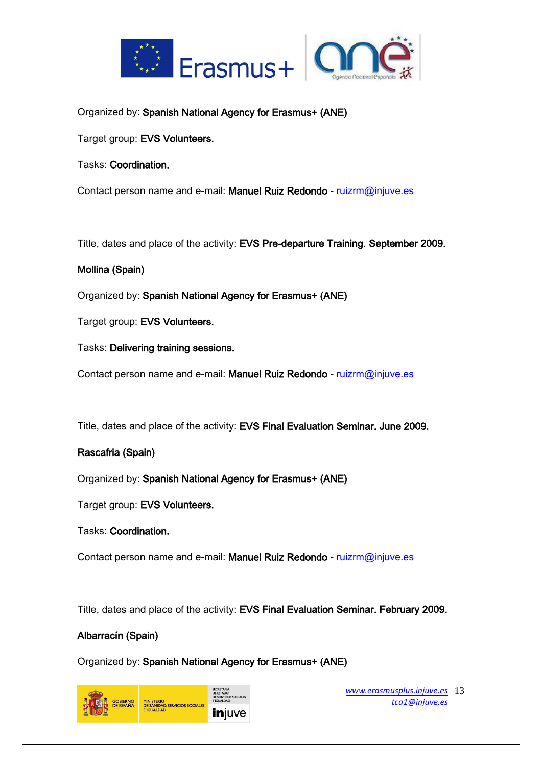



Organized by: Spanish National Agency for Erasmus+ (ANE)

Target group: EVS Volunteers.

Tasks: Coordination.

Contact person name and e-mail: Manuel Ruiz Redondo - [ruizrm@injuve.es](mailto:ruizrm@injuve.es)

Title, dates and place of the activity: EVS Pre-departure Training. September 2009.

### Mollina (Spain)

Organized by: Spanish National Agency for Erasmus+ (ANE)

Target group: EVS Volunteers.

Tasks: Delivering training sessions.

Contact person name and e-mail: Manuel Ruiz Redondo - [ruizrm@injuve.es](mailto:ruizrm@injuve.es)

Title, dates and place of the activity: EVS Final Evaluation Seminar. June 2009.

### Rascafria (Spain)

Organized by: Spanish National Agency for Erasmus+ (ANE)

Target group: EVS Volunteers.

Tasks: Coordination.

Contact person name and e-mail: Manuel Ruiz Redondo - [ruizrm@injuve.es](mailto:ruizrm@injuve.es)

Title, dates and place of the activity: EVS Final Evaluation Seminar. February 2009.

#### Albarracín (Spain)

Organized by: Spanish National Agency for Erasmus+ (ANE)



*[www.erasmusplus.injuve.es](http://www.erasmusplus.injuve.es/)* 13 *[tca1@injuve.es](mailto:tca1@injuve.es)*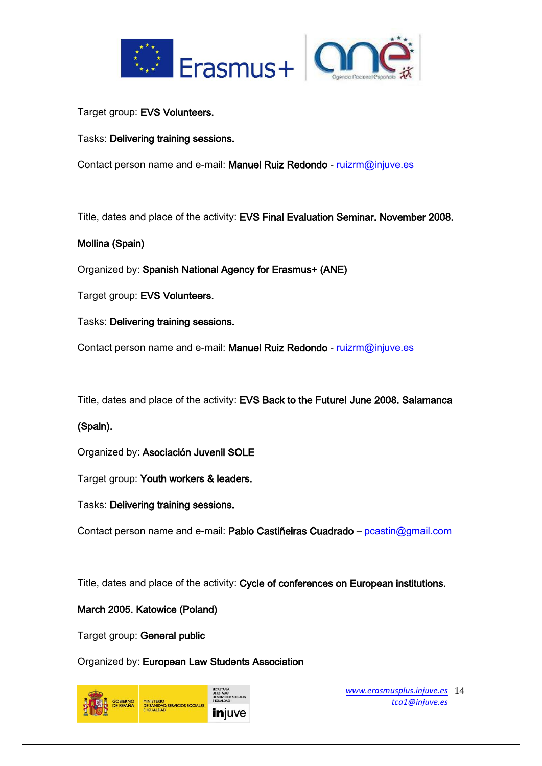



Target group: EVS Volunteers.

Tasks: Delivering training sessions.

Contact person name and e-mail: Manuel Ruiz Redondo - [ruizrm@injuve.es](mailto:ruizrm@injuve.es)

Title, dates and place of the activity: EVS Final Evaluation Seminar. November 2008.

## Mollina (Spain)

Organized by: Spanish National Agency for Erasmus+ (ANE)

Target group: EVS Volunteers.

Tasks: Delivering training sessions.

Contact person name and e-mail: Manuel Ruiz Redondo - [ruizrm@injuve.es](mailto:ruizrm@injuve.es)

Title, dates and place of the activity: EVS Back to the Future! June 2008. Salamanca

## (Spain).

Organized by: Asociación Juvenil SOLE

Target group: Youth workers & leaders.

Tasks: Delivering training sessions.

Contact person name and e-mail: Pablo Castiñeiras Cuadrado - [pcastin@gmail.com](mailto:pcastin@gmail.com)

Title, dates and place of the activity: Cycle of conferences on European institutions.

### March 2005. Katowice (Poland)

Target group: General public

Organized by: European Law Students Association



*[www.erasmusplus.injuve.es](http://www.erasmusplus.injuve.es/)* 14 *[tca1@injuve.es](mailto:tca1@injuve.es)*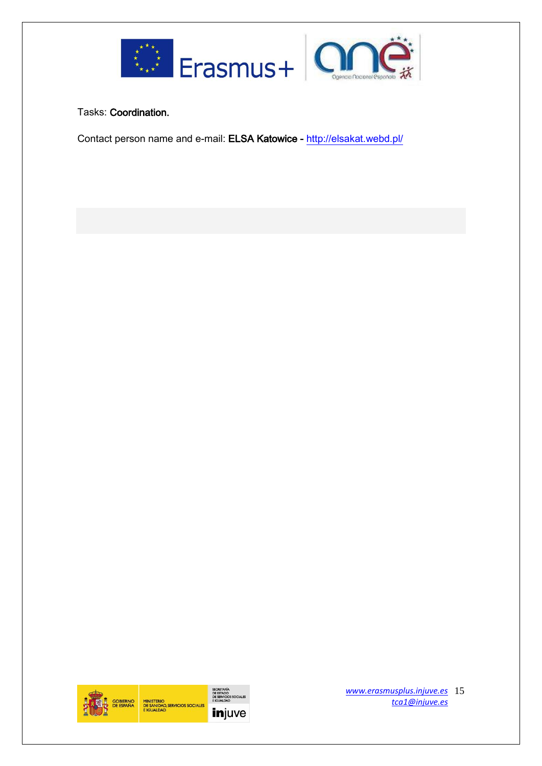



Tasks: Coordination.

Contact person name and e-mail: ELSA Katowice -<http://elsakat.webd.pl/>



*[www.erasmusplus.injuve.es](http://www.erasmusplus.injuve.es/)* 15 *[tca1@injuve.es](mailto:tca1@injuve.es)*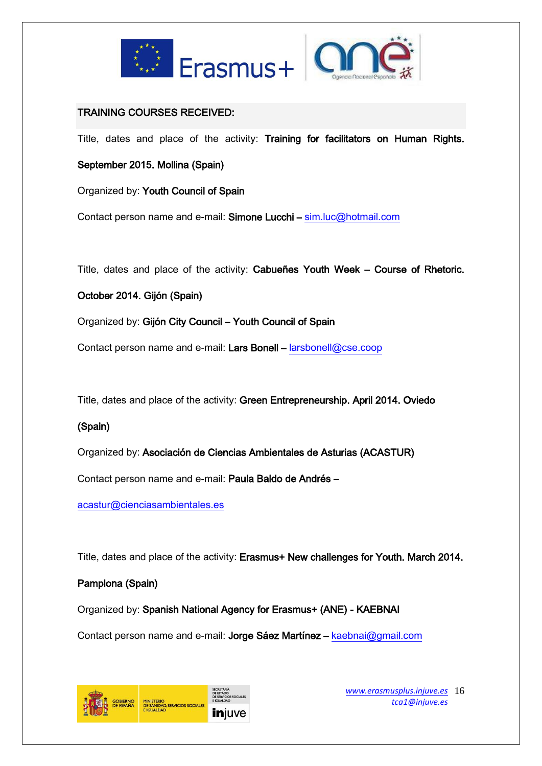



### TRAINING COURSES RECEIVED:

Title, dates and place of the activity: Training for facilitators on Human Rights.

September 2015. Mollina (Spain)

Organized by: Youth Council of Spain

Contact person name and e-mail: Simone Lucchi – [sim.luc@hotmail.com](mailto:sim.luc@hotmail.com)

Title, dates and place of the activity: Cabueñes Youth Week – Course of Rhetoric.

October 2014. Gijón (Spain)

Organized by: Gijón City Council – Youth Council of Spain

Contact person name and e-mail: Lars Bonell – [larsbonell@cse.coop](mailto:larsbonell@cse.coop)

Title, dates and place of the activity: Green Entrepreneurship. April 2014. Oviedo

## (Spain)

Organized by: Asociación de Ciencias Ambientales de Asturias (ACASTUR)

Contact person name and e-mail: Paula Baldo de Andrés –

[acastur@cienciasambientales.es](mailto:acastur@cienciasambientales.es)

Title, dates and place of the activity: Erasmus+ New challenges for Youth. March 2014.

## Pamplona (Spain)

Organized by: Spanish National Agency for Erasmus+ (ANE) - KAEBNAI

Contact person name and e-mail: Jorge Sáez Martínez - [kaebnai@gmail.com](mailto:kaebnai@gmail.com)



*[www.erasmusplus.injuve.es](http://www.erasmusplus.injuve.es/)* 16 *[tca1@injuve.es](mailto:tca1@injuve.es)*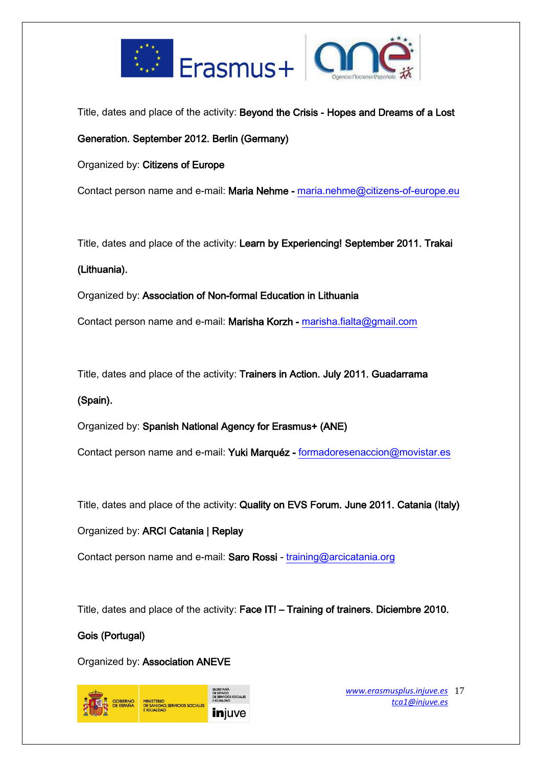



Title, dates and place of the activity: Beyond the Crisis - Hopes and Dreams of a Lost

Generation. September 2012. Berlin (Germany)

Organized by: Citizens of Europe

Contact person name and e-mail: Maria Nehme - [maria.nehme@citizens-of-europe.eu](mailto:maria.nehme@citizens-of-europe.eu)

Title, dates and place of the activity: Learn by Experiencing! September 2011. Trakai

### (Lithuania).

Organized by: Association of Non-formal Education in Lithuania

Contact person name and e-mail: Marisha Korzh - [marisha.fialta@gmail.com](mailto:marisha.fialta@gmail.com)

Title, dates and place of the activity: Trainers in Action. July 2011. Guadarrama

### (Spain).

Organized by: Spanish National Agency for Erasmus+ (ANE)

Contact person name and e-mail: Yuki Marquéz - [formadoresenaccion@movistar.es](mailto:formadoresenaccion@movistar.es)

Title, dates and place of the activity: Quality on EVS Forum. June 2011. Catania (Italy)

Organized by: ARCI Catania | Replay

Contact person name and e-mail: Saro Rossi - [training@arcicatania.org](mailto:training@arcicatania.org)

Title, dates and place of the activity: Face IT! - Training of trainers. Diciembre 2010.

## Gois (Portugal)

Organized by: Association ANEVE



*[www.erasmusplus.injuve.es](http://www.erasmusplus.injuve.es/)* 17 *[tca1@injuve.es](mailto:tca1@injuve.es)*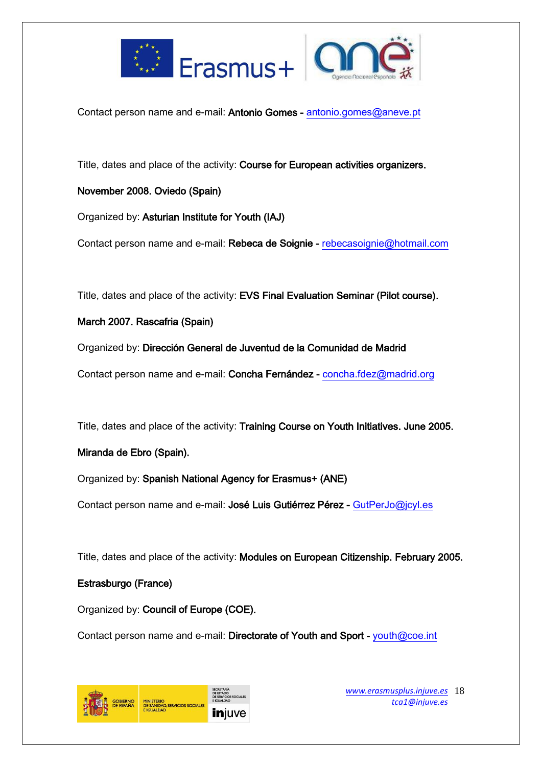



Contact person name and e-mail: Antonio Gomes - [antonio.gomes@aneve.pt](mailto:antonio.gomes@aneve.pt)

Title, dates and place of the activity: Course for European activities organizers.

## November 2008. Oviedo (Spain)

Organized by: Asturian Institute for Youth (IAJ)

Contact person name and e-mail: Rebeca de Soignie - [rebecasoignie@hotmail.com](mailto:rebecasoignie@hotmail.com)

Title, dates and place of the activity: EVS Final Evaluation Seminar (Pilot course).

March 2007. Rascafria (Spain)

Organized by: Dirección General de Juventud de la Comunidad de Madrid

Contact person name and e-mail: Concha Fernández - [concha.fdez@madrid.org](mailto:concha.fdez@madrid.org)

Title, dates and place of the activity: Training Course on Youth Initiatives. June 2005.

## Miranda de Ebro (Spain).

Organized by: Spanish National Agency for Erasmus+ (ANE)

Contact person name and e-mail: José Luis Gutiérrez Pérez - [GutPerJo@jcyl.es](mailto:GutPerJo@jcyl.es) 

Title, dates and place of the activity: Modules on European Citizenship. February 2005.

## Estrasburgo (France)

Organized by: Council of Europe (COE).

Contact person name and e-mail: Directorate of Youth and Sport - [youth@coe.int](mailto:youth@coe.int)



*[www.erasmusplus.injuve.es](http://www.erasmusplus.injuve.es/)* 18 *[tca1@injuve.es](mailto:tca1@injuve.es)*